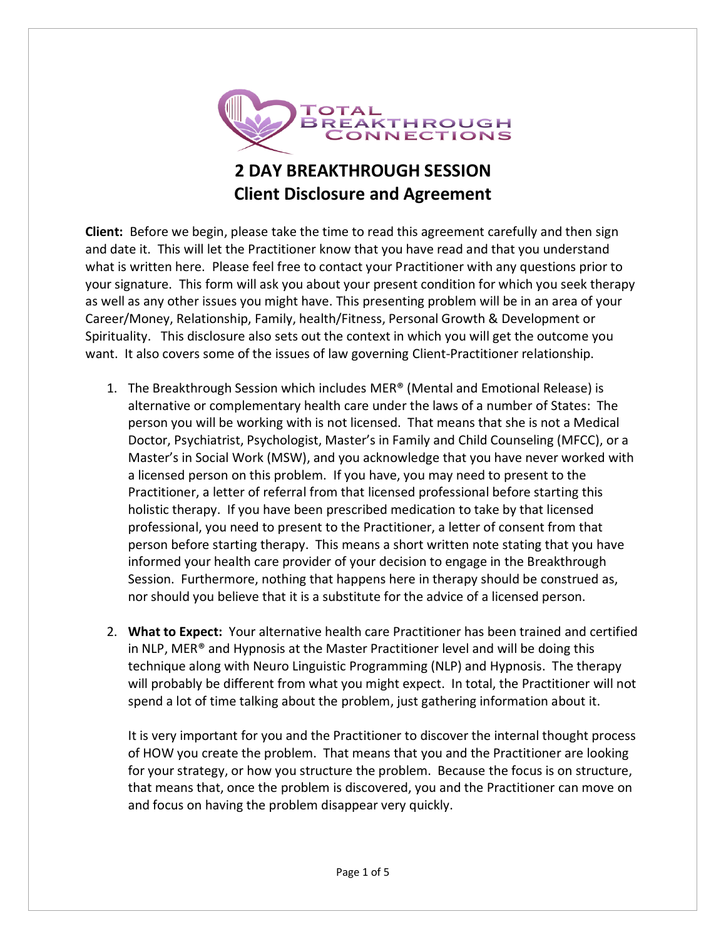

## **2 DAY BREAKTHROUGH SESSION Client Disclosure and Agreement**

**Client:** Before we begin, please take the time to read this agreement carefully and then sign and date it. This will let the Practitioner know that you have read and that you understand what is written here. Please feel free to contact your Practitioner with any questions prior to your signature. This form will ask you about your present condition for which you seek therapy as well as any other issues you might have. This presenting problem will be in an area of your Career/Money, Relationship, Family, health/Fitness, Personal Growth & Development or Spirituality. This disclosure also sets out the context in which you will get the outcome you want. It also covers some of the issues of law governing Client-Practitioner relationship.

- 1. The Breakthrough Session which includes MER® (Mental and Emotional Release) is alternative or complementary health care under the laws of a number of States: The person you will be working with is not licensed. That means that she is not a Medical Doctor, Psychiatrist, Psychologist, Master's in Family and Child Counseling (MFCC), or a Master's in Social Work (MSW), and you acknowledge that you have never worked with a licensed person on this problem. If you have, you may need to present to the Practitioner, a letter of referral from that licensed professional before starting this holistic therapy. If you have been prescribed medication to take by that licensed professional, you need to present to the Practitioner, a letter of consent from that person before starting therapy. This means a short written note stating that you have informed your health care provider of your decision to engage in the Breakthrough Session. Furthermore, nothing that happens here in therapy should be construed as, nor should you believe that it is a substitute for the advice of a licensed person.
- 2. **What to Expect:** Your alternative health care Practitioner has been trained and certified in NLP, MER<sup>®</sup> and Hypnosis at the Master Practitioner level and will be doing this technique along with Neuro Linguistic Programming (NLP) and Hypnosis. The therapy will probably be different from what you might expect. In total, the Practitioner will not spend a lot of time talking about the problem, just gathering information about it.

It is very important for you and the Practitioner to discover the internal thought process of HOW you create the problem. That means that you and the Practitioner are looking for your strategy, or how you structure the problem. Because the focus is on structure, that means that, once the problem is discovered, you and the Practitioner can move on and focus on having the problem disappear very quickly.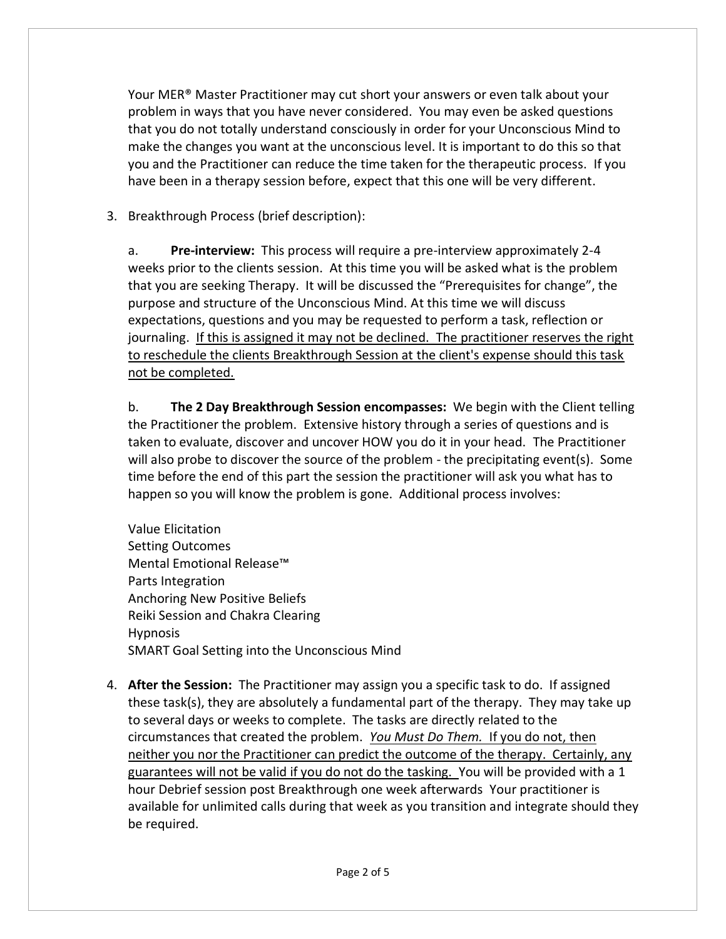Your MER<sup>®</sup> Master Practitioner may cut short your answers or even talk about your problem in ways that you have never considered. You may even be asked questions that you do not totally understand consciously in order for your Unconscious Mind to make the changes you want at the unconscious level. It is important to do this so that you and the Practitioner can reduce the time taken for the therapeutic process. If you have been in a therapy session before, expect that this one will be very different.

3. Breakthrough Process (brief description):

a. **Pre-interview:** This process will require a pre-interview approximately 2-4 weeks prior to the clients session. At this time you will be asked what is the problem that you are seeking Therapy. It will be discussed the "Prerequisites for change", the purpose and structure of the Unconscious Mind. At this time we will discuss expectations, questions and you may be requested to perform a task, reflection or journaling. If this is assigned it may not be declined. The practitioner reserves the right to reschedule the clients Breakthrough Session at the client's expense should this task not be completed.

b. **The 2 Day Breakthrough Session encompasses:** We begin with the Client telling the Practitioner the problem. Extensive history through a series of questions and is taken to evaluate, discover and uncover HOW you do it in your head. The Practitioner will also probe to discover the source of the problem - the precipitating event(s). Some time before the end of this part the session the practitioner will ask you what has to happen so you will know the problem is gone. Additional process involves:

- Value Elicitation Setting Outcomes Mental Emotional Release™ Parts Integration Anchoring New Positive Beliefs Reiki Session and Chakra Clearing Hypnosis SMART Goal Setting into the Unconscious Mind
- 4. **After the Session:** The Practitioner may assign you a specific task to do. If assigned these task(s), they are absolutely a fundamental part of the therapy. They may take up to several days or weeks to complete. The tasks are directly related to the circumstances that created the problem. *You Must Do Them.* If you do not, then neither you nor the Practitioner can predict the outcome of the therapy. Certainly, any guarantees will not be valid if you do not do the tasking. You will be provided with a 1 hour Debrief session post Breakthrough one week afterwards Your practitioner is available for unlimited calls during that week as you transition and integrate should they be required.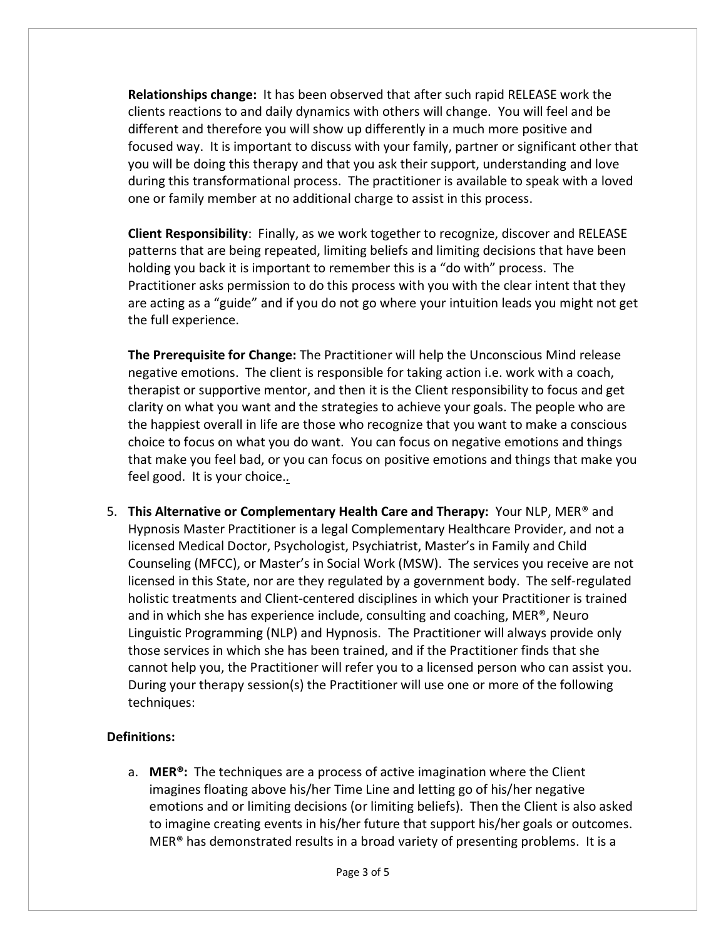**Relationships change:** It has been observed that after such rapid RELEASE work the clients reactions to and daily dynamics with others will change. You will feel and be different and therefore you will show up differently in a much more positive and focused way. It is important to discuss with your family, partner or significant other that you will be doing this therapy and that you ask their support, understanding and love during this transformational process. The practitioner is available to speak with a loved one or family member at no additional charge to assist in this process.

**Client Responsibility**: Finally, as we work together to recognize, discover and RELEASE patterns that are being repeated, limiting beliefs and limiting decisions that have been holding you back it is important to remember this is a "do with" process. The Practitioner asks permission to do this process with you with the clear intent that they are acting as a "guide" and if you do not go where your intuition leads you might not get the full experience.

**The Prerequisite for Change:** The Practitioner will help the Unconscious Mind release negative emotions. The client is responsible for taking action i.e. work with a coach, therapist or supportive mentor, and then it is the Client responsibility to focus and get clarity on what you want and the strategies to achieve your goals. The people who are the happiest overall in life are those who recognize that you want to make a conscious choice to focus on what you do want. You can focus on negative emotions and things that make you feel bad, or you can focus on positive emotions and things that make you feel good. It is your choice.*.*

5. **This Alternative or Complementary Health Care and Therapy:** Your NLP, MER® and Hypnosis Master Practitioner is a legal Complementary Healthcare Provider, and not a licensed Medical Doctor, Psychologist, Psychiatrist, Master's in Family and Child Counseling (MFCC), or Master's in Social Work (MSW). The services you receive are not licensed in this State, nor are they regulated by a government body. The self-regulated holistic treatments and Client-centered disciplines in which your Practitioner is trained and in which she has experience include, consulting and coaching, MER<sup>®</sup>, Neuro Linguistic Programming (NLP) and Hypnosis. The Practitioner will always provide only those services in which she has been trained, and if the Practitioner finds that she cannot help you, the Practitioner will refer you to a licensed person who can assist you. During your therapy session(s) the Practitioner will use one or more of the following techniques:

## **Definitions:**

a. **MER®:** The techniques are a process of active imagination where the Client imagines floating above his/her Time Line and letting go of his/her negative emotions and or limiting decisions (or limiting beliefs). Then the Client is also asked to imagine creating events in his/her future that support his/her goals or outcomes. MER® has demonstrated results in a broad variety of presenting problems. It is a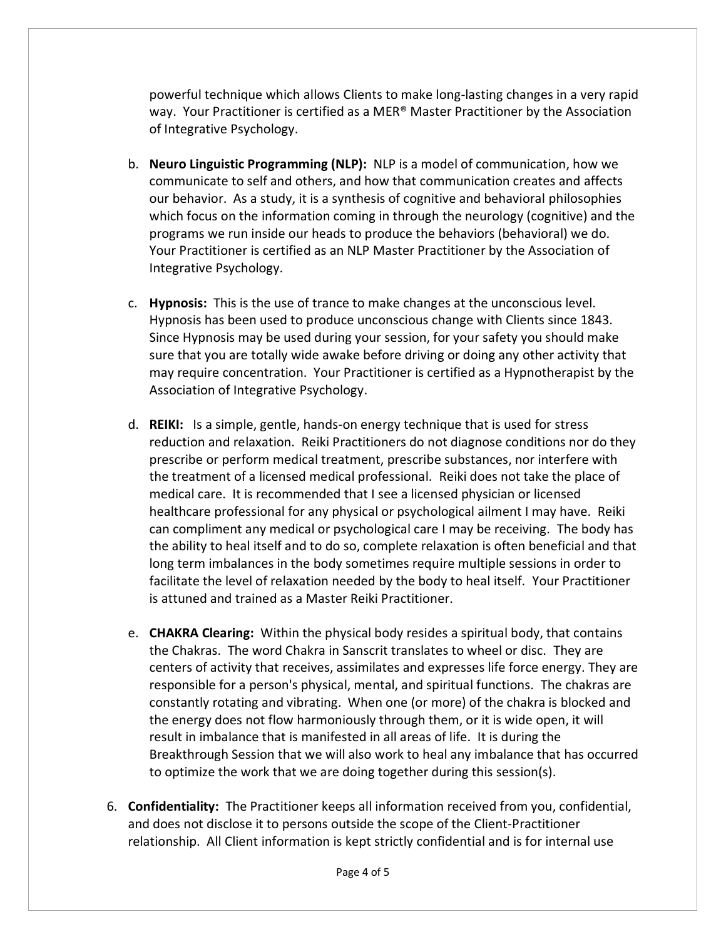powerful technique which allows Clients to make long-lasting changes in a very rapid way. Your Practitioner is certified as a MER® Master Practitioner by the Association of Integrative Psychology.

- b. **Neuro Linguistic Programming (NLP):** NLP is a model of communication, how we communicate to self and others, and how that communication creates and affects our behavior. As a study, it is a synthesis of cognitive and behavioral philosophies which focus on the information coming in through the neurology (cognitive) and the programs we run inside our heads to produce the behaviors (behavioral) we do. Your Practitioner is certified as an NLP Master Practitioner by the Association of Integrative Psychology.
- c. **Hypnosis:** This is the use of trance to make changes at the unconscious level. Hypnosis has been used to produce unconscious change with Clients since 1843. Since Hypnosis may be used during your session, for your safety you should make sure that you are totally wide awake before driving or doing any other activity that may require concentration. Your Practitioner is certified as a Hypnotherapist by the Association of Integrative Psychology.
- d. **REIKI:** Is a simple, gentle, hands-on energy technique that is used for stress reduction and relaxation. Reiki Practitioners do not diagnose conditions nor do they prescribe or perform medical treatment, prescribe substances, nor interfere with the treatment of a licensed medical professional. Reiki does not take the place of medical care. It is recommended that I see a licensed physician or licensed healthcare professional for any physical or psychological ailment I may have. Reiki can compliment any medical or psychological care I may be receiving. The body has the ability to heal itself and to do so, complete relaxation is often beneficial and that long term imbalances in the body sometimes require multiple sessions in order to facilitate the level of relaxation needed by the body to heal itself. Your Practitioner is attuned and trained as a Master Reiki Practitioner.
- e. **CHAKRA Clearing:** Within the physical body resides a spiritual body, that contains the Chakras. The word Chakra in Sanscrit translates to wheel or disc. They are centers of activity that receives, assimilates and expresses life force energy. They are responsible for a person's physical, mental, and spiritual functions. The chakras are constantly rotating and vibrating. When one (or more) of the chakra is blocked and the energy does not flow harmoniously through them, or it is wide open, it will result in imbalance that is manifested in all areas of life. It is during the Breakthrough Session that we will also work to heal any imbalance that has occurred to optimize the work that we are doing together during this session(s).
- 6. **Confidentiality:** The Practitioner keeps all information received from you, confidential, and does not disclose it to persons outside the scope of the Client-Practitioner relationship. All Client information is kept strictly confidential and is for internal use